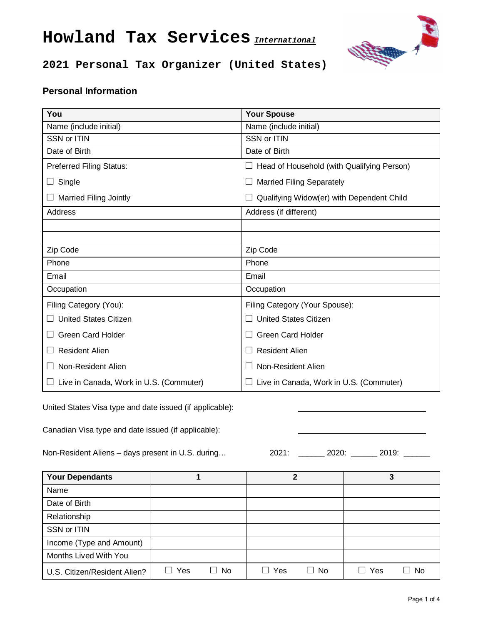# **Howland Tax Services** *International*



# **2021 Personal Tax Organizer (United States)**

# **Personal Information**

| You                                     | <b>Your Spouse</b>                         |
|-----------------------------------------|--------------------------------------------|
| Name (include initial)                  | Name (include initial)                     |
| SSN or ITIN                             | SSN or ITIN                                |
| Date of Birth                           | Date of Birth                              |
| <b>Preferred Filing Status:</b>         | Head of Household (with Qualifying Person) |
| Single                                  | <b>Married Filing Separately</b>           |
| <b>Married Filing Jointly</b>           | Qualifying Widow(er) with Dependent Child  |
| <b>Address</b>                          | Address (if different)                     |
|                                         |                                            |
|                                         |                                            |
| Zip Code                                | Zip Code                                   |
| Phone                                   | Phone                                      |
| Email                                   | Email                                      |
| Occupation                              | Occupation                                 |
| Filing Category (You):                  | Filing Category (Your Spouse):             |
| <b>United States Citizen</b>            | <b>United States Citizen</b>               |
| <b>Green Card Holder</b>                | <b>Green Card Holder</b>                   |
| <b>Resident Alien</b>                   | <b>Resident Alien</b>                      |
| Non-Resident Alien                      | Non-Resident Alien                         |
| Live in Canada, Work in U.S. (Commuter) | Live in Canada, Work in U.S. (Commuter)    |
|                                         |                                            |

United States Visa type and date issued (if applicable):

Canadian Visa type and date issued (if applicable):

| Non-Resident Aliens - days present in U.S. during | 2021. | 2020: | 2019: |  |
|---------------------------------------------------|-------|-------|-------|--|
|---------------------------------------------------|-------|-------|-------|--|

| <b>Your Dependants</b>       |     |              | 2     |           | 3             |                |
|------------------------------|-----|--------------|-------|-----------|---------------|----------------|
| Name                         |     |              |       |           |               |                |
| Date of Birth                |     |              |       |           |               |                |
| Relationship                 |     |              |       |           |               |                |
| SSN or ITIN                  |     |              |       |           |               |                |
| Income (Type and Amount)     |     |              |       |           |               |                |
| Months Lived With You        |     |              |       |           |               |                |
| U.S. Citizen/Resident Alien? | Yes | No<br>$\Box$ | ∣ Yes | $\Box$ No | Yes<br>$\Box$ | N <sub>0</sub> |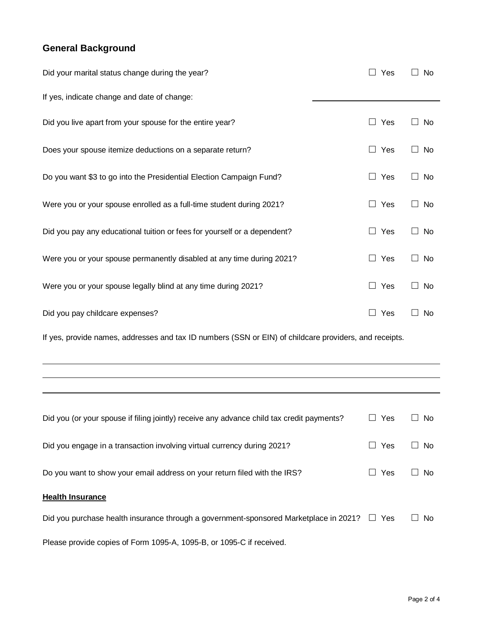# **General Background**

 $\overline{a}$  $\ddot{\phantom{a}}$ 

| Did your marital status change during the year?                          | Yes            | $\Box$ No      |
|--------------------------------------------------------------------------|----------------|----------------|
| If yes, indicate change and date of change:                              |                |                |
|                                                                          |                |                |
| Did you live apart from your spouse for the entire year?                 | $\Box$ Yes     | ⊿ No           |
| Does your spouse itemize deductions on a separate return?                | $\Box$ Yes     | No<br>$\Box$   |
| Do you want \$3 to go into the Presidential Election Campaign Fund?      | Yes<br>$\Box$  | <b>No</b>      |
|                                                                          |                |                |
| Were you or your spouse enrolled as a full-time student during 2021?     | $\Box$ Yes     | No             |
| Did you pay any educational tuition or fees for yourself or a dependent? | Yes<br>$\perp$ | No             |
|                                                                          |                |                |
| Were you or your spouse permanently disabled at any time during 2021?    | Yes<br>$\perp$ | No<br>$\Box$   |
| Were you or your spouse legally blind at any time during 2021?           | Yes<br>$\Box$  | No<br>$\perp$  |
|                                                                          |                |                |
| Did you pay childcare expenses?                                          | Yes            | N <sub>0</sub> |

If yes, provide names, addresses and tax ID numbers (SSN or EIN) of childcare providers, and receipts.

| Did you (or your spouse if filing jointly) receive any advance child tax credit payments?        | <b>Yes</b> | N <sub>0</sub> |
|--------------------------------------------------------------------------------------------------|------------|----------------|
| Did you engage in a transaction involving virtual currency during 2021?                          | Yes        | <b>No</b>      |
| Do you want to show your email address on your return filed with the IRS?                        | <b>Yes</b> | N <sub>0</sub> |
| <b>Health Insurance</b>                                                                          |            |                |
| Did you purchase health insurance through a government-sponsored Marketplace in 2021? $\Box$ Yes |            | N <sub>0</sub> |
| Please provide copies of Form 1095-A, 1095-B, or 1095-C if received.                             |            |                |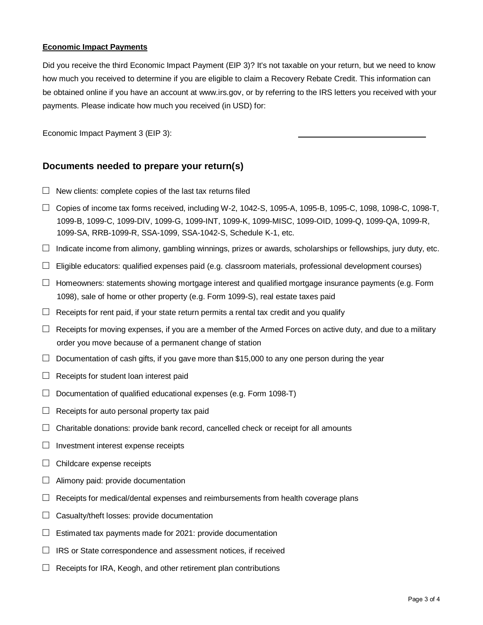#### **Economic Impact Payments**

Did you receive the third Economic Impact Payment (EIP 3)? It's not taxable on your return, but we need to know how much you received to determine if you are eligible to claim a Recovery Rebate Credit. This information can be obtained online if you have an account at www.irs.gov, or by referring to the IRS letters you received with your payments. Please indicate how much you received (in USD) for:

Economic Impact Payment 3 (EIP 3):

## **Documents needed to prepare your return(s)**

- **□** New clients: complete copies of the last tax returns filed
- **□** Copies of income tax forms received, including W-2, 1042-S, 1095-A, 1095-B, 1095-C, 1098, 1098-C, 1098-T, 1099-B, 1099-C, 1099-DIV, 1099-G, 1099-INT, 1099-K, 1099-MISC, 1099-OID, 1099-Q, 1099-QA, 1099-R, 1099-SA, RRB-1099-R, SSA-1099, SSA-1042-S, Schedule K-1, etc.
- **□** Indicate income from alimony, gambling winnings, prizes or awards, scholarships or fellowships, jury duty, etc.
- **□** Eligible educators: qualified expenses paid (e.g. classroom materials, professional development courses)
- **□** Homeowners: statements showing mortgage interest and qualified mortgage insurance payments (e.g. Form 1098), sale of home or other property (e.g. Form 1099-S), real estate taxes paid
- **□** Receipts for rent paid, if your state return permits a rental tax credit and you qualify
- **□** Receipts for moving expenses, if you are a member of the Armed Forces on active duty, and due to a military order you move because of a permanent change of station
- **□** Documentation of cash gifts, if you gave more than \$15,000 to any one person during the year
- **□** Receipts for student loan interest paid
- **□** Documentation of qualified educational expenses (e.g. Form 1098-T)
- **□** Receipts for auto personal property tax paid
- **□** Charitable donations: provide bank record, cancelled check or receipt for all amounts
- **□** Investment interest expense receipts
- **□** Childcare expense receipts
- **□** Alimony paid: provide documentation
- $\Box$  Receipts for medical/dental expenses and reimbursements from health coverage plans
- **□** Casualty/theft losses: provide documentation
- **□** Estimated tax payments made for 2021: provide documentation
- **□** IRS or State correspondence and assessment notices, if received
- **□** Receipts for IRA, Keogh, and other retirement plan contributions